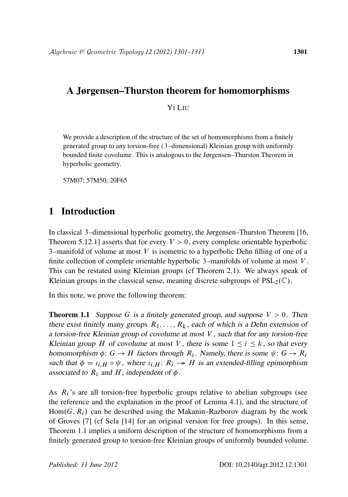# A Jørgensen–Thurston theorem for homomorphisms

### YI LIU

We provide a description of the structure of the set of homomorphisms from a finitely generated group to any torsion-free (3–dimensional) Kleinian group with uniformly bounded finite covolume. This is analogous to the Jørgensen–Thurston Theorem in hyperbolic geometry.

57M07; 57M50, 20F65

# 1 Introduction

In classical 3–dimensional hyperbolic geometry, the Jørgensen–Thurston Theorem [16, Theorem 5.12.1] asserts that for every  $V > 0$ , every complete orientable hyperbolic 3-manifold of volume at most  $V$  is isometric to a hyperbolic Dehn filling of one of a finite collection of complete orientable hyperbolic 3–manifolds of volume at most V . This can be restated using Kleinian groups (cf Theorem 2.1). We always speak of Kleinian groups in the classical sense, meaning discrete subgroups of  $PSL_2(\mathbb{C})$ .

In this note, we prove the following theorem:

**Theorem 1.1** Suppose G is a finitely generated group, and suppose  $V > 0$ . Then there exist finitely many groups  $R_1, \ldots, R_k$ , each of which is a Dehn extension of a torsion-free Kleinian group of covolume at most V , such that for any torsion-free Kleinian group H of covolume at most V, there is some  $1 \le i \le k$ , so that every homomorphism  $\phi: G \to H$  factors through  $R_i$ . Namely, there is some  $\psi: G \to R_i$ such that  $\phi = \iota_{i,H} \circ \psi$ , where  $\iota_{i,H} : R_i \rightarrow H$  is an extended-filling epimorphism associated to  $R_i$  and  $H$ , independent of  $\phi$ .

As  $R_i$ 's are all torsion-free hyperbolic groups relative to abelian subgroups (see the reference and the explanation in the proof of Lemma 4.1), and the structure of  $Hom(G, R<sub>i</sub>)$  can be described using the Makanin–Razborov diagram by the work of Groves [7] (cf Sela [14] for an original version for free groups). In this sense, Theorem 1.1 implies a uniform description of the structure of homomorphisms from a finitely generated group to torsion-free Kleinian groups of uniformly bounded volume.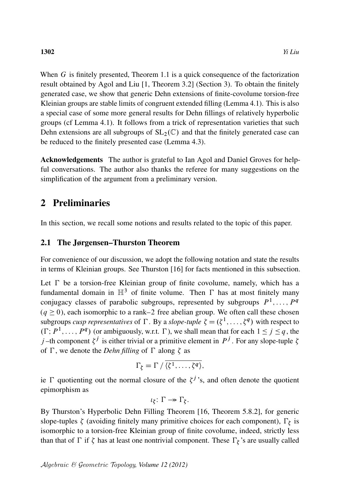When  $G$  is finitely presented, Theorem 1.1 is a quick consequence of the factorization result obtained by Agol and Liu [1, Theorem 3.2] (Section 3). To obtain the finitely generated case, we show that generic Dehn extensions of finite-covolume torsion-free Kleinian groups are stable limits of congruent extended filling (Lemma 4.1). This is also a special case of some more general results for Dehn fillings of relatively hyperbolic groups (cf Lemma 4.1). It follows from a trick of representation varieties that such Dehn extensions are all subgroups of  $SL_2(\mathbb{C})$  and that the finitely generated case can be reduced to the finitely presented case (Lemma 4.3).

Acknowledgements The author is grateful to Ian Agol and Daniel Groves for helpful conversations. The author also thanks the referee for many suggestions on the simplification of the argument from a preliminary version.

## 2 Preliminaries

In this section, we recall some notions and results related to the topic of this paper.

#### 2.1 The Jørgensen–Thurston Theorem

For convenience of our discussion, we adopt the following notation and state the results in terms of Kleinian groups. See Thurston [16] for facts mentioned in this subsection.

Let  $\Gamma$  be a torsion-free Kleinian group of finite covolume, namely, which has a fundamental domain in  $\mathbb{H}^3$  of finite volume. Then  $\Gamma$  has at most finitely many conjugacy classes of parabolic subgroups, represented by subgroups  $P^1, \ldots, P^q$  $(q \ge 0)$ , each isomorphic to a rank–2 free abelian group. We often call these chosen subgroups *cusp representatives* of  $\Gamma$ . By a *slope-tuple*  $\zeta = (\zeta^1, \dots, \zeta^q)$  with respect to  $(\Gamma; P^1, \ldots, P^q)$  (or ambiguously, w.r.t.  $\Gamma$ ), we shall mean that for each  $1 \le j \le q$ , the j-th component  $\zeta^j$  is either trivial or a primitive element in  $P^j$ . For any slope-tuple  $\zeta$ of  $\Gamma$ , we denote the *Dehn filling* of  $\Gamma$  along  $\zeta$  as

$$
\Gamma_{\zeta} = \Gamma / \overline{\langle \zeta^1, \ldots, \zeta^q \rangle},
$$

ie  $\Gamma$  quotienting out the normal closure of the  $\zeta^{j}$ 's, and often denote the quotient epimorphism as

$$
\iota_{\xi} \colon \Gamma \twoheadrightarrow \Gamma_{\xi}.
$$

By Thurston's Hyperbolic Dehn Filling Theorem [16, Theorem 5.8.2], for generic slope-tuples  $\zeta$  (avoiding finitely many primitive choices for each component),  $\Gamma_{\zeta}$  is isomorphic to a torsion-free Kleinian group of finite covolume, indeed, strictly less than that of  $\Gamma$  if  $\zeta$  has at least one nontrivial component. These  $\Gamma_{\zeta}$ 's are usually called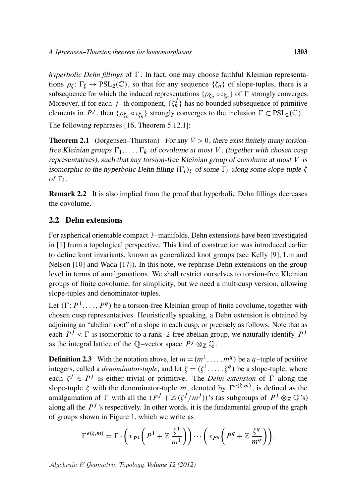*hyperbolic Dehn fillings* of  $\Gamma$ . In fact, one may choose faithful Kleinian representations  $\rho_{\xi} \colon \Gamma_{\xi} \to PSL_2(\mathbb{C})$ , so that for any sequence  $\{\zeta_n\}$  of slope-tuples, there is a subsequence for which the induced representations  $\{\rho_{\zeta_n} \circ \iota_{\zeta_n}\}$  of  $\Gamma$  strongly converges. Moreover, if for each j-th component,  $\{\zeta_n^j\}$  has no bounded subsequence of primitive elements in  $P^j$ , then  $\{\rho_{\zeta_n} \circ \iota_{\zeta_n}\}$  strongly converges to the inclusion  $\Gamma \subset \text{PSL}_2(\mathbb{C})$ . The following rephrases [16, Theorem 5.12.1]:

**Theorem 2.1** (Jørgensen–Thurston) For any  $V > 0$ , there exist finitely many torsionfree Kleinian groups  $\Gamma_1, \ldots, \Gamma_k$  of covolume at most V, (together with chosen cusp representatives), such that any torsion-free Kleinian group of covolume at most  $V$  is isomorphic to the hyperbolic Dehn filling  $(\Gamma_i)_{\zeta}$  of some  $\Gamma_i$  along some slope-tuple  $\zeta$ of  $\Gamma_i$ .

Remark 2.2 It is also implied from the proof that hyperbolic Dehn fillings decreases the covolume.

### 2.2 Dehn extensions

For aspherical orientable compact 3–manifolds, Dehn extensions have been investigated in [1] from a topological perspective. This kind of construction was introduced earlier to define knot invariants, known as generalized knot groups (see Kelly [9], Lin and Nelson [10] and Wada [17]). In this note, we rephrase Dehn extensions on the group level in terms of amalgamations. We shall restrict ourselves to torsion-free Kleinian groups of finite covolume, for simplicity, but we need a multicusp version, allowing slope-tuples and denominator-tuples.

Let  $(\Gamma; P^1, \ldots, P^q)$  be a torsion-free Kleinian group of finite covolume, together with chosen cusp representatives. Heuristically speaking, a Dehn extension is obtained by adjoining an "abelian root" of a slope in each cusp, or precisely as follows. Note that as each  $P^j < \Gamma$  is isomorphic to a rank–2 free abelian group, we naturally identify  $P^j$ as the integral lattice of the Q-vector space  $P^j \otimes_{\mathbb{Z}} \mathbb{Q}$ .

**Definition 2.3** With the notation above, let  $m = (m^1, \ldots, m^q)$  be a q-tuple of positive integers, called a *denominator-tuple*, and let  $\zeta = (\zeta^1, \dots, \zeta^q)$  be a slope-tuple, where each  $\zeta^j \in P^j$  is either trivial or primitive. The *Dehn extension* of  $\Gamma$  along the slope-tuple  $\zeta$  with the denominator-tuple m, denoted by  $\Gamma^{e(\zeta,m)}$ , is defined as the amalgamation of  $\Gamma$  with all the  $(P^j + \mathbb{Z}(\zeta^j/m^j))$ 's (as subgroups of  $P^j \otimes_{\mathbb{Z}} \mathbb{Q}$ 's) along all the  $P<sup>j</sup>$ 's respectively. In other words, it is the fundamental group of the graph of groups shown in Figure 1, which we write as

$$
\Gamma^{e(\zeta,m)} = \Gamma \cdot \left( *_{P^1} \left( P^1 + \mathbb{Z} \frac{\zeta^1}{m^1} \right) \right) \cdots \left( *_{P^q} \left( P^q + \mathbb{Z} \frac{\zeta^q}{m^q} \right) \right).
$$

Algebraic & Geometric Topology*, Volume 12 (2012)*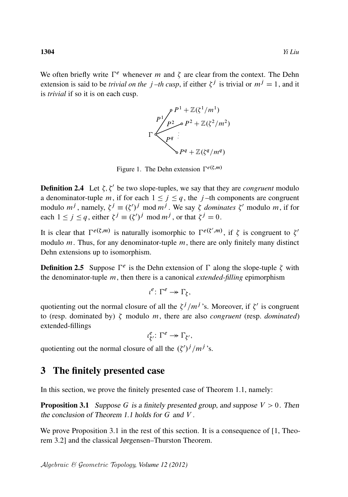We often briefly write  $\Gamma^e$  whenever m and  $\zeta$  are clear from the context. The Dehn extension is said to be *trivial on the j-th cusp*, if either  $\zeta^{j}$  is trivial or  $m^{j} = 1$ , and it is *trivial* if so it is on each cusp.



Figure 1. The Dehn extension  $\Gamma^{e}(\xi,m)$ 

**Definition 2.4** Let  $\zeta$ ,  $\zeta'$  be two slope-tuples, we say that they are *congruent* modulo a denominator-tuple m, if for each  $1 \leq j \leq q$ , the j-th components are congruent modulo  $m^j$ , namely,  $\zeta^j \equiv (\zeta')^j \mod m^j$ . We say  $\zeta$  *dominates*  $\zeta'$  modulo m, if for each  $1 \le j \le q$ , either  $\xi^{j} \equiv (\xi')^{j} \mod m^{j}$ , or that  $\xi^{j} = 0$ .

It is clear that  $\Gamma^{e(\xi,m)}$  is naturally isomorphic to  $\Gamma^{e(\xi',m)}$ , if  $\xi$  is congruent to  $\xi'$ modulo  $m$ . Thus, for any denominator-tuple  $m$ , there are only finitely many distinct Dehn extensions up to isomorphism.

**Definition 2.5** Suppose  $\Gamma^e$  is the Dehn extension of  $\Gamma$  along the slope-tuple  $\zeta$  with the denominator-tuple m, then there is a canonical *extended-filling* epimorphism

 $\iota^e \colon \Gamma^e \to \Gamma_{\zeta},$ 

quotienting out the normal closure of all the  $\zeta^j/m^j$ 's. Moreover, if  $\zeta'$  is congruent to (resp. dominated by)  $\zeta$  modulo m, there are also *congruent* (resp. *dominated*) extended-fillings

> $l_f^e$  $\frac{e}{\zeta'}\colon \Gamma^e \to \Gamma_{\zeta'},$

quotienting out the normal closure of all the  $(\zeta')^j/m^j$ 's.

## 3 The finitely presented case

In this section, we prove the finitely presented case of Theorem 1.1, namely:

**Proposition 3.1** Suppose G is a finitely presented group, and suppose  $V > 0$ . Then the conclusion of Theorem 1.1 holds for G and V .

We prove Proposition 3.1 in the rest of this section. It is a consequence of [1, Theorem 3.2] and the classical Jørgensen–Thurston Theorem.

Algebraic & Geometric Topology*, Volume 12 (2012)*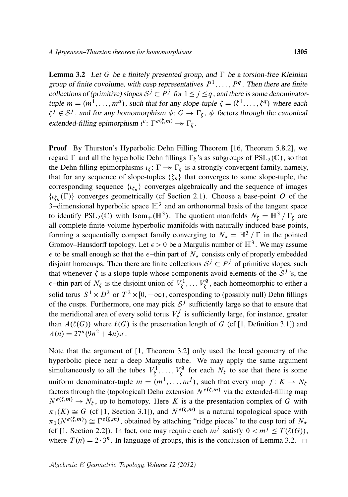**Lemma 3.2** Let G be a finitely presented group, and  $\Gamma$  be a torsion-free Kleinian group of finite covolume, with cusp representatives  $P^1, \ldots, P^q$ . Then there are finite collections of (primitive) slopes  $S^j \subset P^j$  for  $1 \le j \le q$ , and there is some denominatortuple  $m = (m^1, \dots, m^q)$ , such that for any slope-tuple  $\zeta = (\zeta^1, \dots, \zeta^q)$  where each  $\zeta^j \notin S^j$ , and for any homomorphism  $\phi: G \to \Gamma_{\zeta}$ ,  $\phi$  factors through the canonical extended-filling epimorphism  $\iota^e \colon \Gamma^{e(\xi,m)} \to \Gamma_{\xi}$ .

Proof By Thurston's Hyperbolic Dehn Filling Theorem [16, Theorem 5.8.2], we regard  $\Gamma$  and all the hyperbolic Dehn fillings  $\Gamma_{\zeta}$ 's as subgroups of PSL<sub>2</sub>(C), so that the Dehn filling epimorphisms  $\iota_{\xi} \colon \Gamma \to \Gamma_{\xi}$  is a strongly convergent family, namely, that for any sequence of slope-tuples  $\{\zeta_n\}$  that converges to some slope-tuple, the corresponding sequence  $\{t_{\zeta_n}\}$  converges algebraically and the sequence of images  $\{t_{\xi_n}(\Gamma)\}\)$  converges geometrically (cf Section 2.1). Choose a base-point O of the 3–dimensional hyperbolic space  $\mathbb{H}^3$  and an orthonormal basis of the tangent space to identify  $PSL_2(\mathbb{C})$  with Isom<sub>+</sub>( $\mathbb{H}^3$ ). The quotient manifolds  $N_{\zeta} = \mathbb{H}^3 / \Gamma_{\zeta}$  are all complete finite-volume hyperbolic manifolds with naturally induced base points, forming a sequentially compact family converging to  $N_{\star} = \mathbb{H}^3 / \Gamma$  in the pointed Gromov–Hausdorff topology. Let  $\epsilon > 0$  be a Margulis number of  $\mathbb{H}^3$ . We may assume  $\epsilon$  to be small enough so that the  $\epsilon$ -thin part of  $N_{\star}$  consists only of properly embedded disjoint horocusps. Then there are finite collections  $S^j \subset P^j$  of primitive slopes, such that whenever  $\zeta$  is a slope-tuple whose components avoid elements of the  $\mathcal{S}^j$ 's, the  $\epsilon$ -thin part of  $N_{\xi}$  is the disjoint union of  $V_{\xi}^{1}$  $\bar{\zeta}^1, \ldots V_{\zeta}^q$  $\zeta^q$ , each homeomorphic to either a solid torus  $S^1 \times D^2$  or  $T^2 \times [0, +\infty)$ , corresponding to (possibly null) Dehn fillings of the cusps. Furthermore, one may pick  $S<sup>j</sup>$  sufficiently large so that to ensure that the meridional area of every solid torus  $V_t^j$  $\zeta'$  is sufficiently large, for instance, greater than  $A(\ell(G))$  where  $\ell(G)$  is the presentation length of G (cf [1, Definition 3.1]) and  $A(n) = 27^n (9n^2 + 4n)\pi$ .

Note that the argument of [1, Theorem 3.2] only used the local geometry of the hyperbolic piece near a deep Margulis tube. We may apply the same argument simultaneously to all the tubes  $V_t^1$  $V_{\xi}^{1}, \ldots, V_{\xi}^{q}$  $\zeta^q$  for each  $N_{\zeta}$  to see that there is some uniform denominator-tuple  $m = (m^1, \ldots, m^j)$ , such that every map  $f: K \to N_\xi$ factors through the (topological) Dehn extension  $N^{e(\xi,m)}$  via the extended-filling map  $N^{e(\xi,m)} \to N_{\xi}$ , up to homotopy. Here K is a the presentation complex of G with  $\pi_1(K) \cong G$  (cf [1, Section 3.1]), and  $N^{e(\xi,m)}$  is a natural topological space with  $\pi_1(N^{e(\xi,m)}) \cong \Gamma^{e(\xi,m)}$ , obtained by attaching "ridge pieces" to the cusp tori of  $N_{\star}$ (cf [1, Section 2.2]). In fact, one may require each  $m^j$  satisfy  $0 < m^j \leq T(\ell(G))$ , where  $T(n) = 2 \cdot 3^n$ . In language of groups, this is the conclusion of Lemma 3.2.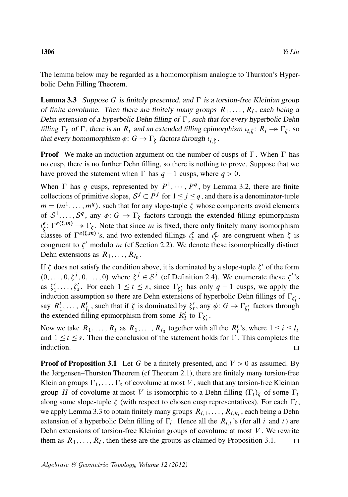The lemma below may be regarded as a homomorphism analogue to Thurston's Hyperbolic Dehn Filling Theorem.

**Lemma 3.3** Suppose G is finitely presented, and  $\Gamma$  is a torsion-free Kleinian group of finite covolume. Then there are finitely many groups  $R_1, \ldots, R_l$ , each being a Dehn extension of a hyperbolic Dehn filling of  $\Gamma$ , such that for every hyperbolic Dehn filling  $\Gamma_{\xi}$  of  $\Gamma$ , there is an  $R_i$  and an extended filling epimorphism  $\iota_{i,\xi}$ :  $R_i \to \Gamma_{\xi}$ , so that every homomorphism  $\phi: G \to \Gamma_{\xi}$  factors through  $\iota_{i,\xi}$ .

**Proof** We make an induction argument on the number of cusps of  $\Gamma$ . When  $\Gamma$  has no cusp, there is no further Dehn filling, so there is nothing to prove. Suppose that we have proved the statement when  $\Gamma$  has  $q - 1$  cusps, where  $q > 0$ .

When  $\Gamma$  has q cusps, represented by  $P^1, \dots, P^q$ , by Lemma 3.2, there are finite collections of primitive slopes,  $S^j \subset P^j$  for  $1 \le j \le q$ , and there is a denominator-tuple  $m = (m^1, \dots, m^q)$ , such that for any slope-tuple  $\zeta$  whose components avoid elements of  $S^1, \ldots, S^q$ , any  $\phi: G \to \Gamma_{\xi}$  factors through the extended filling epimorphism  $l^e_{\epsilon}$  $\zeta \colon \Gamma^{e(\zeta,m)} \to \Gamma_{\zeta}$ . Note that since *m* is fixed, there only finitely many isomorphism classes of  $\Gamma^{e(\xi,m)}$ 's, and two extended fillings  $\iota_{\xi}^e$  $\frac{e}{\zeta}$  and  $\iota_{\zeta}^e$  are congruent when  $\zeta$  is congruent to  $\zeta'$  modulo *m* (cf Section 2.2). We denote these isomorphically distinct Dehn extensions as  $R_1, \ldots, R_{l_0}$ .

If  $\zeta$  does not satisfy the condition above, it is dominated by a slope-tuple  $\zeta'$  of the form  $(0, \ldots, 0, \zeta^j, 0, \ldots, 0)$  where  $\zeta^j \in S^j$  (cf Definition 2.4). We enumerate these  $\zeta$ 's as  $\zeta_1'$  $\zeta'_1, \ldots, \zeta'_s$ . For each  $1 \le t \le s$ , since  $\Gamma_{\zeta'_t}$  has only  $q-1$  cusps, we apply the induction assumption so there are Dehn extensions of hyperbolic Dehn fillings of  $\Gamma_{\zeta_i}$ , say  $R_1^t, \ldots, R_{l_t}^t$ , such that if  $\zeta$  is dominated by  $\zeta_t^t$  $t'$ , any  $\phi: G \to \Gamma_{\xi'_t}$  factors through the extended filling epimorphism from some  $R_i^t$  to  $\Gamma_{\xi'_i}$ .

Now we take  $R_1, \ldots, R_l$  as  $R_1, \ldots, R_{l_0}$  together with all the  $R_i^t$ 's, where  $1 \le i \le l_t$ and  $1 \le t \le s$ . Then the conclusion of the statement holds for  $\Gamma$ . This completes the induction.  $\Box$ 

**Proof of Proposition 3.1** Let G be a finitely presented, and  $V > 0$  as assumed. By the Jørgensen–Thurston Theorem (cf Theorem 2.1), there are finitely many torsion-free Kleinian groups  $\Gamma_1, \ldots, \Gamma_s$  of covolume at most V, such that any torsion-free Kleinian group H of covolume at most V is isomorphic to a Dehn filling  $(\Gamma_i)$  of some  $\Gamma_i$ along some slope-tuple  $\zeta$  (with respect to chosen cusp representatives). For each  $\Gamma_i$ , we apply Lemma 3.3 to obtain finitely many groups  $R_{i,1}, \ldots, R_{i,k_i}$ , each being a Dehn extension of a hyperbolic Dehn filling of  $\Gamma_i$ . Hence all the  $R_{i,t}$ 's (for all i and t) are Dehn extensions of torsion-free Kleinian groups of covolume at most  $V$ . We rewrite them as  $R_1, \ldots, R_l$ , then these are the groups as claimed by Proposition 3.1.  $\Box$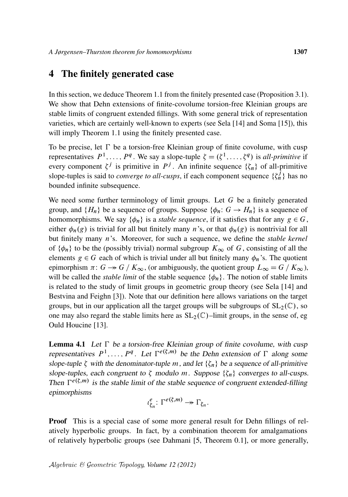## 4 The finitely generated case

In this section, we deduce Theorem 1.1 from the finitely presented case (Proposition 3.1). We show that Dehn extensions of finite-covolume torsion-free Kleinian groups are stable limits of congruent extended fillings. With some general trick of representation varieties, which are certainly well-known to experts (see Sela [14] and Soma [15]), this will imply Theorem 1.1 using the finitely presented case.

To be precise, let  $\Gamma$  be a torsion-free Kleinian group of finite covolume, with cusp representatives  $P^1, \ldots, P^q$ . We say a slope-tuple  $\zeta = (\zeta^1, \ldots, \zeta^q)$  is *all-primitive* if every component  $\zeta^j$  is primitive in  $P^j$ . An infinite sequence  $\{\zeta_n\}$  of all-primitive slope-tuples is said to *converge to all-cusps*, if each component sequence  $\{\zeta_n^j\}$  has no bounded infinite subsequence.

We need some further terminology of limit groups. Let  $G$  be a finitely generated group, and  $\{H_n\}$  be a sequence of groups. Suppose  $\{\phi_n: G \to H_n\}$  is a sequence of homomorphisms. We say  $\{\phi_n\}$  is a *stable sequence*, if it satisfies that for any  $g \in G$ , either  $\phi_n(g)$  is trivial for all but finitely many n's, or that  $\phi_n(g)$  is nontrivial for all but finitely many n's. Moreover, for such a sequence, we define the *stable kernel* of  $\{\phi_n\}$  to be the (possibly trivial) normal subgroup  $K_{\infty}$  of G, consisting of all the elements  $g \in G$  each of which is trivial under all but finitely many  $\phi_n$ 's. The quotient epimorphism  $\pi: G \twoheadrightarrow G / K_{\infty}$ , (or ambiguously, the quotient group  $L_{\infty} = G / K_{\infty}$ ), will be called the *stable limit* of the stable sequence  $\{\phi_n\}$ . The notion of stable limits is related to the study of limit groups in geometric group theory (see Sela [14] and Bestvina and Feighn [3]). Note that our definition here allows variations on the target groups, but in our application all the target groups will be subgroups of  $SL_2(\mathbb{C})$ , so one may also regard the stable limits here as  $SL_2(\mathbb{C})$ –limit groups, in the sense of, eg Ould Houcine [13].

**Lemma 4.1** Let  $\Gamma$  be a torsion-free Kleinian group of finite covolume, with cusp representatives  $P^1, \ldots, P^q$ . Let  $\Gamma^{e(\zeta,m)}$  be the Dehn extension of  $\Gamma$  along some slope-tuple  $\zeta$  with the denominator-tuple m, and let  $\{\zeta_n\}$  be a sequence of all-primitive slope-tuples, each congruent to  $\zeta$  modulo m. Suppose  $\{\zeta_n\}$  converges to all-cusps. Then  $\Gamma^{e(\xi,m)}$  is the stable limit of the stable sequence of congruent extended-filling epimorphisms

$$
\iota_{\zeta_n}^e \colon \Gamma^{e(\zeta,m)} \to \Gamma_{\zeta_n}.
$$

Proof This is a special case of some more general result for Dehn fillings of relatively hyperbolic groups. In fact, by a combination theorem for amalgamations of relatively hyperbolic groups (see Dahmani [5, Theorem 0.1], or more generally,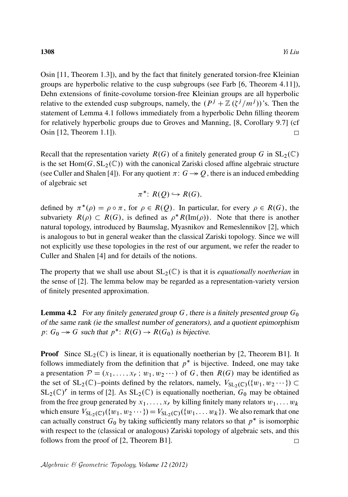Osin [11, Theorem 1.3]), and by the fact that finitely generated torsion-free Kleinian groups are hyperbolic relative to the cusp subgroups (see Farb [6, Theorem 4.11]), Dehn extensions of finite-covolume torsion-free Kleinian groups are all hyperbolic relative to the extended cusp subgroups, namely, the  $(P^{j} + \mathbb{Z}(\zeta^{j}/m^{j}))$ 's. Then the statement of Lemma 4.1 follows immediately from a hyperbolic Dehn filling theorem for relatively hyperbolic groups due to Groves and Manning, [8, Corollary 9.7] (cf Osin [12, Theorem 1.1]).  $\Box$ 

Recall that the representation variety  $R(G)$  of a finitely generated group G in  $SL_2(\mathbb{C})$ is the set  $Hom(G, SL_2(\mathbb{C}))$  with the canonical Zariski closed affine algebraic structure (see Culler and Shalen [4]). For any quotient  $\pi: G \rightarrow O$ , there is an induced embedding of algebraic set

$$
\pi^*\colon R(Q)\hookrightarrow R(G),
$$

defined by  $\pi^*(\rho) = \rho \circ \pi$ , for  $\rho \in R(Q)$ . In particular, for every  $\rho \in R(G)$ , the subvariety  $R(\rho) \subset R(G)$ , is defined as  $\rho^* R(\text{Im}(\rho))$ . Note that there is another natural topology, introduced by Baumslag, Myasnikov and Remeslennikov [2], which is analogous to but in general weaker than the classical Zariski topology. Since we will not explicitly use these topologies in the rest of our argument, we refer the reader to Culler and Shalen [4] and for details of the notions.

The property that we shall use about  $SL_2(\mathbb{C})$  is that it is *equationally noetherian* in the sense of [2]. The lemma below may be regarded as a representation-variety version of finitely presented approximation.

**Lemma 4.2** For any finitely generated group  $G$ , there is a finitely presented group  $G_0$ of the same rank (ie the smallest number of generators), and a quotient epimorphism p:  $G_0 \rightarrow G$  such that  $p^*$ :  $R(G) \rightarrow R(G_0)$  is bijective.

**Proof** Since  $SL_2(\mathbb{C})$  is linear, it is equationally noetherian by [2, Theorem B1]. It follows immediately from the definition that  $p^*$  is bijective. Indeed, one may take a presentation  $\mathcal{P} = (x_1, \ldots, x_r; w_1, w_2 \cdots)$  of G, then  $R(G)$  may be identified as the set of  $SL_2(\mathbb{C})$ -points defined by the relators, namely,  $V_{SL_2(\mathbb{C})}(\{w_1, w_2 \cdots\}) \subset$  $SL_2(\mathbb{C})^r$  in terms of [2]. As  $SL_2(\mathbb{C})$  is equationally noetherian,  $G_0$  may be obtained from the free group generated by  $x_1, \ldots, x_r$  by killing finitely many relators  $w_1, \ldots w_k$ which ensure  $V_{\text{SL}_2(\mathbb{C})}(\{w_1, w_2 \cdots \}) = V_{\text{SL}_2(\mathbb{C})}(\{w_1, \ldots w_k\})$ . We also remark that one can actually construct  $G_0$  by taking sufficiently many relators so that  $p^*$  is isomorphic with respect to the (classical or analogous) Zariski topology of algebraic sets, and this follows from the proof of [2, Theorem B1].  $\Box$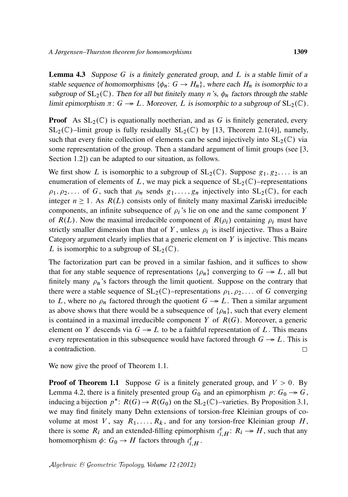**Lemma 4.3** Suppose G is a finitely generated group, and  $L$  is a stable limit of a stable sequence of homomorphisms  $\{\phi_n: G \to H_n\}$ , where each  $H_n$  is isomorphic to a subgroup of  $SL_2(\mathbb{C})$ . Then for all but finitely many n's,  $\phi_n$  factors through the stable limit epimorphism  $\pi: G \to L$ . Moreover, L is isomorphic to a subgroup of  $SL_2(\mathbb{C})$ .

**Proof** As  $SL_2(\mathbb{C})$  is equationally noetherian, and as G is finitely generated, every  $SL_2(\mathbb{C})$ –limit group is fully residually  $SL_2(\mathbb{C})$  by [13, Theorem 2.1(4)], namely, such that every finite collection of elements can be send injectively into  $SL_2(\mathbb{C})$  via some representation of the group. Then a standard argument of limit groups (see [3, Section 1.2) can be adapted to our situation, as follows.

We first show L is isomorphic to a subgroup of  $SL_2(\mathbb{C})$ . Suppose  $g_1, g_2, \ldots$  is an enumeration of elements of L, we may pick a sequence of  $SL_2(\mathbb{C})$ –representations  $\rho_1, \rho_2, \ldots$  of G, such that  $\rho_n$  sends  $g_1, \ldots, g_n$  injectively into  $SL_2(\mathbb{C})$ , for each integer  $n \ge 1$ . As  $R(L)$  consists only of finitely many maximal Zariski irreducible components, an infinite subsequence of  $\rho_i$ 's lie on one and the same component Y of  $R(L)$ . Now the maximal irreducible component of  $R(\rho_i)$  containing  $\rho_i$  must have strictly smaller dimension than that of Y, unless  $\rho_i$  is itself injective. Thus a Baire Category argument clearly implies that a generic element on  $Y$  is injective. This means L is isomorphic to a subgroup of  $SL_2(\mathbb{C})$ .

The factorization part can be proved in a similar fashion, and it suffices to show that for any stable sequence of representations  $\{\rho_n\}$  converging to  $G \rightarrow L$ , all but finitely many  $\rho_n$ 's factors through the limit quotient. Suppose on the contrary that there were a stable sequence of  $SL_2(\mathbb{C})$ –representations  $\rho_1, \rho_2, \ldots$  of G converging to L, where no  $\rho_n$  factored through the quotient  $G \rightarrow L$ . Then a similar argument as above shows that there would be a subsequence of  $\{\rho_n\}$ , such that every element is contained in a maximal irreducible component Y of  $R(G)$ . Moreover, a generic element on Y descends via  $G \rightarrow L$  to be a faithful representation of L. This means every representation in this subsequence would have factored through  $G \rightarrow L$ . This is a contradiction.  $\Box$ 

We now give the proof of Theorem 1.1.

**Proof of Theorem 1.1** Suppose G is a finitely generated group, and  $V > 0$ . By Lemma 4.2, there is a finitely presented group  $G_0$  and an epimorphism  $p: G_0 \rightarrow G$ , inducing a bijection  $p^*$ :  $R(G) \to R(G_0)$  on the SL<sub>2</sub>(C)-varieties. By Proposition 3.1, we may find finitely many Dehn extensions of torsion-free Kleinian groups of covolume at most V, say  $R_1, \ldots, R_k$ , and for any torsion-free Kleinian group H, there is some  $R_i$  and an extended-filling epimorphism  $\iota_{i,H}^e: R_i \rightarrow H$ , such that any homomorphism  $\phi: G_0 \to H$  factors through  $\iota_{i,H}^e$ .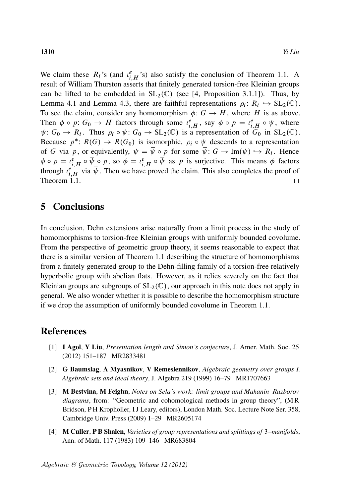We claim these  $R_i$ 's (and  $\iota_{i,H}^e$ 's) also satisfy the conclusion of Theorem 1.1. A result of William Thurston asserts that finitely generated torsion-free Kleinian groups can be lifted to be embedded in  $SL_2(\mathbb{C})$  (see [4, Proposition 3.1.1]). Thus, by Lemma 4.1 and Lemma 4.3, there are faithful representations  $\rho_i: R_i \hookrightarrow SL_2(\mathbb{C})$ . To see the claim, consider any homomorphism  $\phi: G \to H$ , where H is as above. Then  $\phi \circ p: G_0 \to H$  factors through some  $\iota_{i,H}^e$ , say  $\phi \circ p = \iota_{i,H}^e \circ \psi$ , where  $\psi: G_0 \to R_i$ . Thus  $\rho_i \circ \psi: G_0 \to SL_2(\mathbb{C})$  is a representation of  $G_0$  in  $SL_2(\mathbb{C})$ . Because  $p^* \colon R(G) \to R(G_0)$  is isomorphic,  $\rho_i \circ \psi$  descends to a representation of G via p, or equivalently,  $\psi = \overline{\psi} \circ p$  for some  $\overline{\psi} \colon G \to \text{Im}(\psi) \hookrightarrow R_i$ . Hence  $\phi \circ p = \iota_{i,H}^e \circ \overline{\psi} \circ p$ , so  $\phi = \iota_{i,H}^e \circ \overline{\psi}$  as p is surjective. This means  $\phi$  factors through  $\iota_{i,H}^{\ell,H}$  via  $\overline{\psi}$ . Then we have proved the claim. This also completes the proof of Theorem 1.1.  $\Box$ 

## 5 Conclusions

In conclusion, Dehn extensions arise naturally from a limit process in the study of homomorphisms to torsion-free Kleinian groups with uniformly bounded covolume. From the perspective of geometric group theory, it seems reasonable to expect that there is a similar version of Theorem 1.1 describing the structure of homomorphisms from a finitely generated group to the Dehn-filling family of a torsion-free relatively hyperbolic group with abelian flats. However, as it relies severely on the fact that Kleinian groups are subgroups of  $SL_2(\mathbb{C})$ , our approach in this note does not apply in general. We also wonder whether it is possible to describe the homomorphism structure if we drop the assumption of uniformly bounded covolume in Theorem 1.1.

## References

- [1] I Agol, Y Liu, *Presentation length and Simon's conjecture*, J. Amer. Math. Soc. 25 (2012) 151–187 MR2833481
- [2] G Baumslag, A Myasnikov, V Remeslennikov, *Algebraic geometry over groups I. Algebraic sets and ideal theory*, J. Algebra 219 (1999) 16–79 MR1707663
- [3] M Bestvina, M Feighn, *Notes on Sela's work: limit groups and Makanin–Razborov diagrams*, from: "Geometric and cohomological methods in group theory", (M R Bridson, PH Kropholler, IJ Leary, editors), London Math. Soc. Lecture Note Ser. 358, Cambridge Univ. Press (2009) 1–29 MR2605174
- [4] M Culler, P B Shalen, *Varieties of group representations and splittings of* 3*–manifolds*, Ann. of Math. 117 (1983) 109–146 MR683804